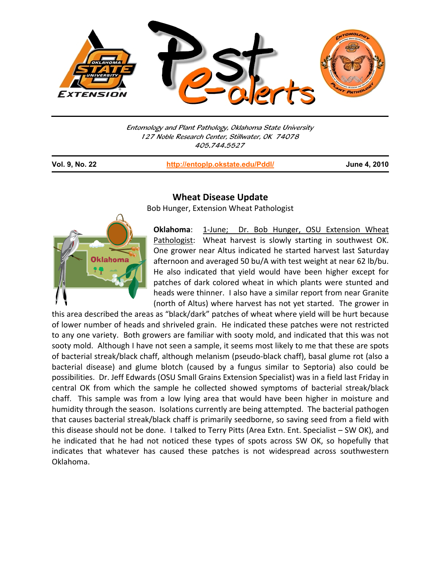

Entomology and Plant Pathology, Oklahoma State University 127 Noble Research Center, Stillwater, OK 74078 405.744.5527

**Vol. 9, No. 22 http://entoplp.okstate.edu/Pddl/ June 4, 2010**



j

## **Wheat Disease Update**

Bob Hunger, Extension Wheat Pathologist

**Oklahoma**: 1‐June; Dr. Bob Hunger, OSU Extension Wheat Pathologist: Wheat harvest is slowly starting in southwest OK. One grower near Altus indicated he started harvest last Saturday afternoon and averaged 50 bu/A with test weight at near 62 lb/bu. He also indicated that yield would have been higher except for patches of dark colored wheat in which plants were stunted and heads were thinner. I also have a similar report from near Granite (north of Altus) where harvest has not yet started. The grower in

this area described the areas as "black/dark" patches of wheat where yield will be hurt because of lower number of heads and shriveled grain. He indicated these patches were not restricted to any one variety. Both growers are familiar with sooty mold, and indicated that this was not sooty mold. Although I have not seen a sample, it seems most likely to me that these are spots of bacterial streak/black chaff, although melanism (pseudo‐black chaff), basal glume rot (also a bacterial disease) and glume blotch (caused by a fungus similar to Septoria) also could be possibilities. Dr. Jeff Edwards (OSU Small Grains Extension Specialist) was in a field last Friday in central OK from which the sample he collected showed symptoms of bacterial streak/black chaff. This sample was from a low lying area that would have been higher in moisture and humidity through the season. Isolations currently are being attempted. The bacterial pathogen that causes bacterial streak/black chaff is primarily seedborne, so saving seed from a field with this disease should not be done. I talked to Terry Pitts (Area Extn. Ent. Specialist – SW OK), and he indicated that he had not noticed these types of spots across SW OK, so hopefully that indicates that whatever has caused these patches is not widespread across southwestern Oklahoma.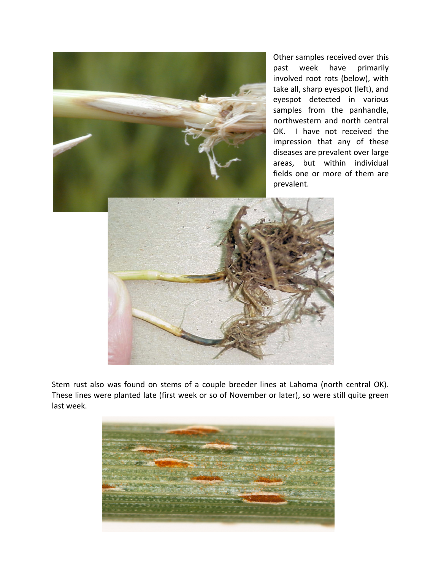

Other samples received over this past week have primarily involved root rots (below), with take all, sharp eyespot (left), and eyespot detected in various samples from the panhandle, northwestern and north central OK. I have not received the impression that any of these diseases are prevalent over large areas, but within individual fields one or more of them are prevalent.



Stem rust also was found on stems of a couple breeder lines at Lahoma (north central OK). These lines were planted late (first week or so of November or later), so were still quite green last week.